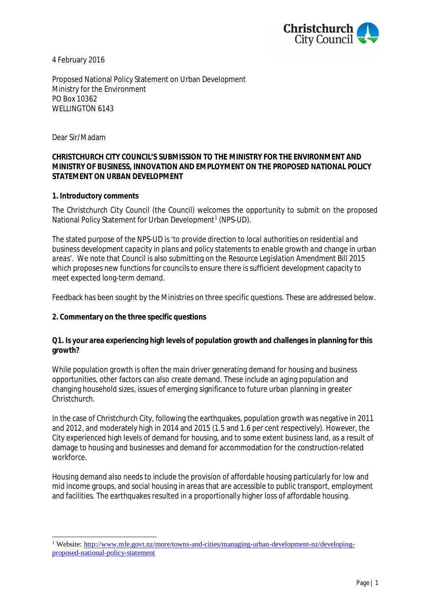

4 February 2016

Proposed National Policy Statement on Urban Development Ministry for the Environment PO Box 10362 WELLINGTON 6143

Dear Sir/Madam

## **CHRISTCHURCH CITY COUNCIL'S SUBMISSION TO THE MINISTRY FOR THE ENVIRONMENT AND MINISTRY OF BUSINESS, INNOVATION AND EMPLOYMENT ON THE PROPOSED NATIONAL POLICY STATEMENT ON URBAN DEVELOPMENT**

**1. Introductory comments**

The Christchurch City Council (the Council) welcomes the opportunity to submit on the proposed National Policy Statement for Urban Development<sup>[1](#page-0-0)</sup> (NPS-UD).

The stated purpose of the NPS-UD is '*to provide direction to local authorities on residential and business development capacity in plans and policy statements to enable growth and change in urban areas*'. We note that Council is also submitting on the *Resource Legislation Amendment Bill 2015* which proposes new functions for councils to ensure there is sufficient development capacity to meet expected long-term demand.

Feedback has been sought by the Ministries on three specific questions. These are addressed below.

**2. Commentary on the three specific questions**

**Q1. Is your area experiencing high levels of population growth and challenges in planning for this growth?**

While population growth is often the main driver generating demand for housing and business opportunities, other factors can also create demand. These include an aging population and changing household sizes, issues of emerging significance to future urban planning in greater Christchurch.

In the case of Christchurch City, following the earthquakes, population growth was negative in 2011 and 2012, and moderately high in 2014 and 2015 (1.5 and 1.6 per cent respectively). However, the City experienced high levels of demand for housing, and to some extent business land, as a result of damage to housing and businesses and demand for accommodation for the construction-related workforce.

Housing demand also needs to include the provision of affordable housing particularly for low and mid income groups, and social housing in areas that are accessible to public transport, employment and facilities. The earthquakes resulted in a proportionally higher loss of affordable housing.

<span id="page-0-0"></span><sup>&</sup>lt;sup>1</sup> Website: [http://www.mfe.govt.nz/more/towns-and-cities/managing-urban-development-nz/developing](http://www.mfe.govt.nz/more/towns-and-cities/managing-urban-development-nz/developing-proposed-national-policy-statement)proposed-national-policy-statement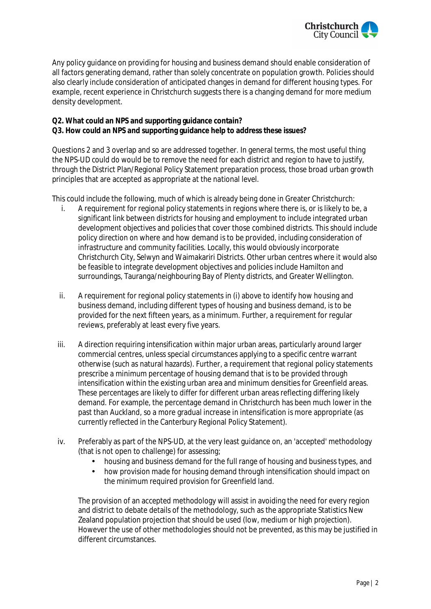

Any policy guidance on providing for housing and business demand should enable consideration of all factors generating demand, rather than solely concentrate on population growth. Policies should also clearly include consideration of anticipated changes in demand for different housing types. For example, recent experience in Christchurch suggests there is a changing demand for more medium density development.

- **Q2. What could an NPS and supporting guidance contain?**
- **Q3. How could an NPS and supporting guidance help to address these issues?**

Questions 2 and 3 overlap and so are addressed together. In general terms, the most useful thing the NPS-UD could do would be to remove the need for each district and region to have to justify, through the District Plan/Regional Policy Statement preparation process, those broad urban growth principles that are accepted as appropriate at the national level.

This could include the following, much of which is already being done in Greater Christchurch:

- i. A requirement for regional policy statements in regions where there is, or is likely to be, a significant link between districts for housing and employment to include integrated urban development objectives and policies that cover those combined districts. This should include policy direction on where and how demand is to be provided, including consideration of infrastructure and community facilities. Locally, this would obviously incorporate Christchurch City, Selwyn and Waimakariri Districts. Other urban centres where it would also be feasible to integrate development objectives and policies include Hamilton and surroundings, Tauranga/neighbouring Bay of Plenty districts, and Greater Wellington.
- ii. A requirement for regional policy statements in (i) above to identify how housing and business demand, including different types of housing and business demand, is to be provided for the next fifteen years, as a minimum. Further, a requirement for regular reviews, preferably at least every five years.
- iii. A direction requiring intensification within major urban areas, particularly around larger commercial centres, unless special circumstances applying to a specific centre warrant otherwise (such as natural hazards). Further, a requirement that regional policy statements prescribe a minimum percentage of housing demand that is to be provided through intensification within the existing urban area and minimum densities for Greenfield areas. These percentages are likely to differ for different urban areas reflecting differing likely demand. For example, the percentage demand in Christchurch has been much lower in the past than Auckland, so a more gradual increase in intensification is more appropriate (as currently reflected in the Canterbury Regional Policy Statement).
- iv. Preferably as part of the NPS-UD, at the very least guidance on, an 'accepted' methodology (that is not open to challenge) for assessing;
	- housing and business demand for the full range of housing and business types, and
	- how provision made for housing demand through intensification should impact on the minimum required provision for Greenfield land.

The provision of an accepted methodology will assist in avoiding the need for every region and district to debate details of the methodology, such as the appropriate Statistics New Zealand population projection that should be used (low, medium or high projection). However the use of other methodologies should not be prevented, as this may be justified in different circumstances.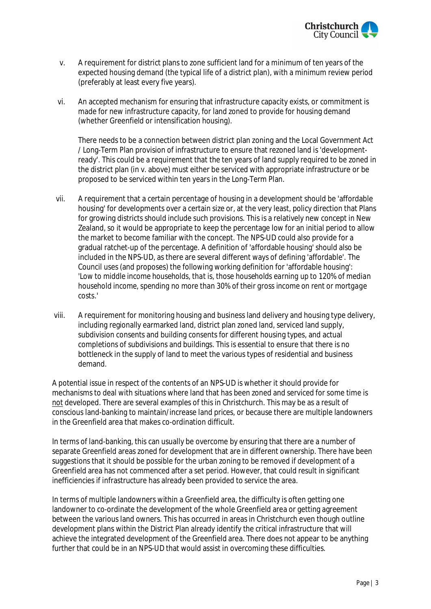

- v. A requirement for district plans to zone sufficient land for a minimum of ten years of the expected housing demand (the typical life of a district plan), with a minimum review period (preferably at least every five years).
- vi. An accepted mechanism for ensuring that infrastructure capacity exists, or commitment is made for new infrastructure capacity, for land zoned to provide for housing demand (whether Greenfield or intensification housing).

There needs to be a connection between district plan zoning and the Local Government Act / Long-Term Plan provision of infrastructure to ensure that rezoned land is 'developmentready'. This could be a requirement that the ten years of land supply required to be zoned in the district plan (in v. above) must either be serviced with appropriate infrastructure or be proposed to be serviced within ten years in the Long-Term Plan.

- vii. A requirement that a certain percentage of housing in a development should be 'affordable housing' for developments over a certain size or, at the very least, policy direction that Plans for growing districts should include such provisions. This is a relatively new concept in New Zealand, so it would be appropriate to keep the percentage low for an initial period to allow the market to become familiar with the concept. The NPS-UD could also provide for a gradual ratchet-up of the percentage. A definition of 'affordable housing' should also be included in the NPS-UD, as there are several different ways of defining 'affordable'. The Council uses (and proposes) the following working definition for 'affordable housing': '*Low to middle income households, that is, those households earning up to 120% of median household income, spending no more than 30% of their gross income on rent or mortgage costs*.'
- viii. A requirement for monitoring housing and business land delivery and housing type delivery, including regionally earmarked land, district plan zoned land, serviced land supply, subdivision consents and building consents for different housing types, and actual completions of subdivisions and buildings. This is essential to ensure that there is no bottleneck in the supply of land to meet the various types of residential and business demand.

A potential issue in respect of the contents of an NPS-UD is whether it should provide for mechanisms to deal with situations where land that has been zoned and serviced for some time is not developed. There are several examples of this in Christchurch. This may be as a result of conscious land-banking to maintain/increase land prices, or because there are multiple landowners in the Greenfield area that makes co-ordination difficult.

In terms of land-banking, this can usually be overcome by ensuring that there are a number of separate Greenfield areas zoned for development that are in different ownership. There have been suggestions that it should be possible for the urban zoning to be removed if development of a Greenfield area has not commenced after a set period. However, that could result in significant inefficiencies if infrastructure has already been provided to service the area.

In terms of multiple landowners within a Greenfield area, the difficulty is often getting one landowner to co-ordinate the development of the whole Greenfield area or getting agreement between the various land owners. This has occurred in areas in Christchurch even though outline development plans within the District Plan already identify the critical infrastructure that will achieve the integrated development of the Greenfield area. There does not appear to be anything further that could be in an NPS-UD that would assist in overcoming these difficulties.